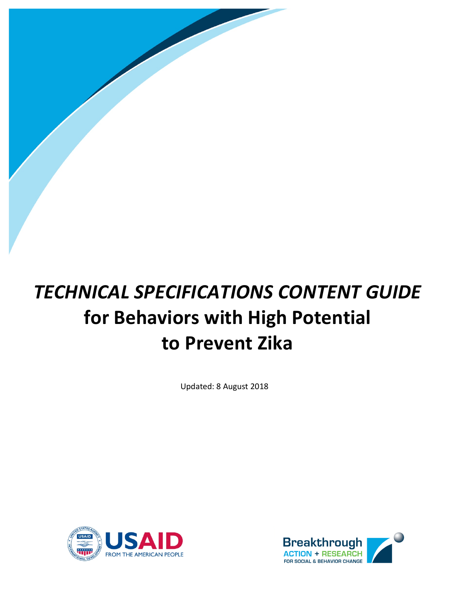# *TECHNICAL SPECIFICATIONS CONTENT GUIDE* **for Behaviors with High Potential to Prevent Zika**

Updated: 8 August 2018



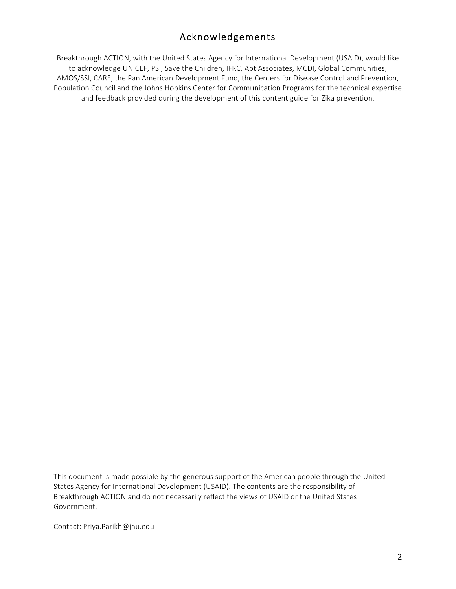# Acknowledgements

Breakthrough ACTION, with the United States Agency for International Development (USAID), would like to acknowledge UNICEF, PSI, Save the Children, IFRC, Abt Associates, MCDI, Global Communities, AMOS/SSI, CARE, the Pan American Development Fund, the Centers for Disease Control and Prevention, Population Council and the Johns Hopkins Center for Communication Programs for the technical expertise and feedback provided during the development of this content guide for Zika prevention.

This document is made possible by the generous support of the American people through the United States Agency for International Development (USAID). The contents are the responsibility of Breakthrough ACTION and do not necessarily reflect the views of USAID or the United States Government.

Contact: Priya.Parikh@jhu.edu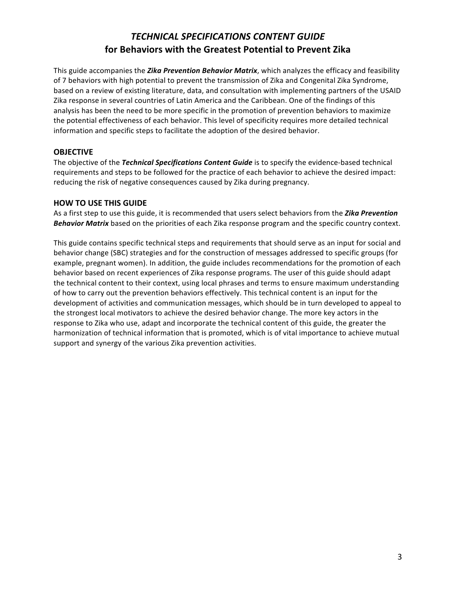## *TECHNICAL SPECIFICATIONS CONTENT GUIDE* **for Behaviors with the Greatest Potential to Prevent Zika**

This guide accompanies the *Zika Prevention Behavior Matrix*, which analyzes the efficacy and feasibility of 7 behaviors with high potential to prevent the transmission of Zika and Congenital Zika Syndrome, based on a review of existing literature, data, and consultation with implementing partners of the USAID Zika response in several countries of Latin America and the Caribbean. One of the findings of this analysis has been the need to be more specific in the promotion of prevention behaviors to maximize the potential effectiveness of each behavior. This level of specificity requires more detailed technical information and specific steps to facilitate the adoption of the desired behavior.

## **OBJECTIVE**

The objective of the *Technical Specifications Content Guide* is to specify the evidence-based technical requirements and steps to be followed for the practice of each behavior to achieve the desired impact: reducing the risk of negative consequences caused by Zika during pregnancy.

## **HOW TO USE THIS GUIDE**

As a first step to use this guide, it is recommended that users select behaviors from the **Zika Prevention Behavior Matrix** based on the priorities of each Zika response program and the specific country context.

This guide contains specific technical steps and requirements that should serve as an input for social and behavior change (SBC) strategies and for the construction of messages addressed to specific groups (for example, pregnant women). In addition, the guide includes recommendations for the promotion of each behavior based on recent experiences of Zika response programs. The user of this guide should adapt the technical content to their context, using local phrases and terms to ensure maximum understanding of how to carry out the prevention behaviors effectively. This technical content is an input for the development of activities and communication messages, which should be in turn developed to appeal to the strongest local motivators to achieve the desired behavior change. The more key actors in the response to Zika who use, adapt and incorporate the technical content of this guide, the greater the harmonization of technical information that is promoted, which is of vital importance to achieve mutual support and synergy of the various Zika prevention activities.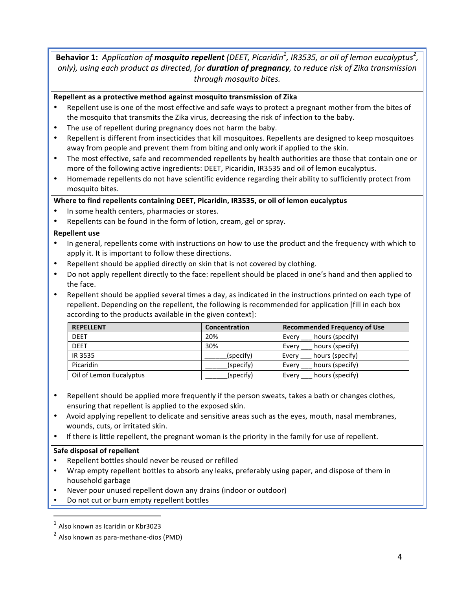## Behavior 1: Application of mosquito repellent (DEET, Picaridin<sup>1</sup>, IR3535, or oil of lemon eucalyptus<sup>2</sup>, *only),* using each product as directed, for **duration of pregnancy**, to reduce risk of Zika transmission *through mosquito bites.*

## Repellent as a protective method against mosquito transmission of Zika

- Repellent use is one of the most effective and safe ways to protect a pregnant mother from the bites of the mosquito that transmits the Zika virus, decreasing the risk of infection to the baby.
- The use of repellent during pregnancy does not harm the baby.
- Repellent is different from insecticides that kill mosquitoes. Repellents are designed to keep mosquitoes away from people and prevent them from biting and only work if applied to the skin.
- The most effective, safe and recommended repellents by health authorities are those that contain one or more of the following active ingredients: DEET, Picaridin, IR3535 and oil of lemon eucalyptus.
- Homemade repellents do not have scientific evidence regarding their ability to sufficiently protect from mosquito bites.

## Where to find repellents containing DEET, Picaridin, IR3535, or oil of lemon eucalyptus

- In some health centers, pharmacies or stores.
- Repellents can be found in the form of lotion, cream, gel or spray.

#### **Repellent** use

- In general, repellents come with instructions on how to use the product and the frequency with which to apply it. It is important to follow these directions.
- Repellent should be applied directly on skin that is not covered by clothing.
- Do not apply repellent directly to the face: repellent should be placed in one's hand and then applied to the face.
- Repellent should be applied several times a day, as indicated in the instructions printed on each type of repellent. Depending on the repellent, the following is recommended for application [fill in each box according to the products available in the given context]:

| <b>REPELLENT</b>        | Concentration | <b>Recommended Frequency of Use</b> |  |  |
|-------------------------|---------------|-------------------------------------|--|--|
| <b>DEET</b>             | 20%           | hours (specify)<br>Every            |  |  |
| <b>DEET</b>             | 30%           | hours (specify)<br>Every            |  |  |
| IR 3535                 | (specify)     | hours (specify)<br>Every            |  |  |
| Picaridin               | (specify)     | hours (specify)<br>Every            |  |  |
| Oil of Lemon Eucalyptus | (specify)     | hours (specify)<br>Every            |  |  |

- Repellent should be applied more frequently if the person sweats, takes a bath or changes clothes, ensuring that repellent is applied to the exposed skin.
- Avoid applying repellent to delicate and sensitive areas such as the eyes, mouth, nasal membranes, wounds, cuts, or irritated skin.
- If there is little repellent, the pregnant woman is the priority in the family for use of repellent.

#### **Safe disposal of repellent**

- Repellent bottles should never be reused or refilled
- Wrap empty repellent bottles to absorb any leaks, preferably using paper, and dispose of them in household garbage
- Never pour unused repellent down any drains (indoor or outdoor)
- Do not cut or burn empty repellent bottles

  $<sup>1</sup>$  Also known as Icaridin or Kbr3023</sup>

 $2$  Also known as para-methane-dios (PMD)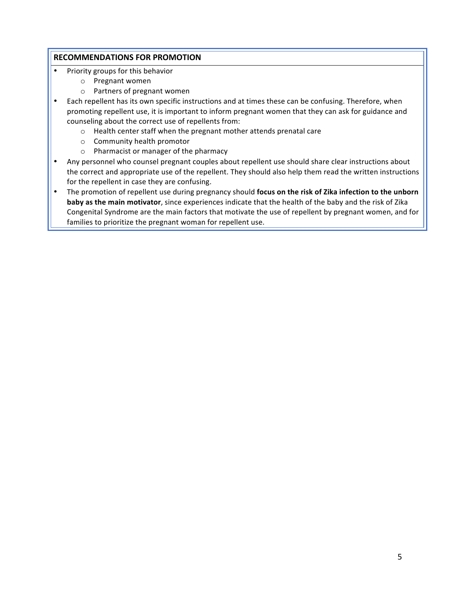- Priority groups for this behavior
	- o Pregnant women
	- $\circ$  Partners of pregnant women
- Each repellent has its own specific instructions and at times these can be confusing. Therefore, when promoting repellent use, it is important to inform pregnant women that they can ask for guidance and counseling about the correct use of repellents from:
	- $\circ$  Health center staff when the pregnant mother attends prenatal care
	- o Community health promotor
	- o Pharmacist or manager of the pharmacy
- Any personnel who counsel pregnant couples about repellent use should share clear instructions about the correct and appropriate use of the repellent. They should also help them read the written instructions for the repellent in case they are confusing.
- The promotion of repellent use during pregnancy should focus on the risk of Zika infection to the unborn **baby as the main motivator**, since experiences indicate that the health of the baby and the risk of Zika Congenital Syndrome are the main factors that motivate the use of repellent by pregnant women, and for families to prioritize the pregnant woman for repellent use.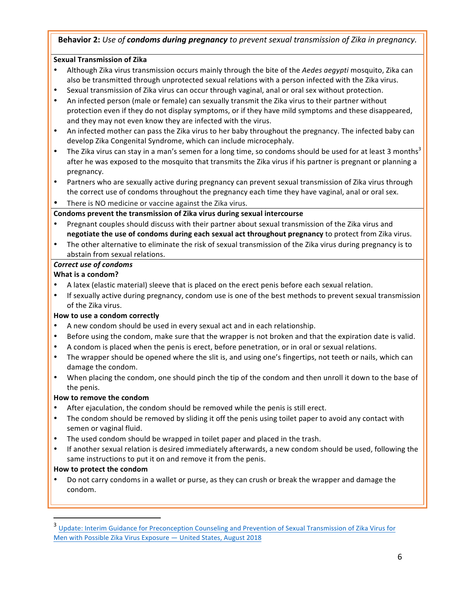## **Behavior 2:** Use of **condoms during pregnancy** to prevent sexual transmission of Zika in pregnancy.

## **Sexual Transmission of Zika**

- Although Zika virus transmission occurs mainly through the bite of the *Aedes aegypti* mosquito, Zika can also be transmitted through unprotected sexual relations with a person infected with the Zika virus.
- Sexual transmission of Zika virus can occur through vaginal, anal or oral sex without protection.
- An infected person (male or female) can sexually transmit the Zika virus to their partner without protection even if they do not display symptoms, or if they have mild symptoms and these disappeared, and they may not even know they are infected with the virus.
- An infected mother can pass the Zika virus to her baby throughout the pregnancy. The infected baby can develop Zika Congenital Syndrome, which can include microcephaly.
- The Zika virus can stay in a man's semen for a long time, so condoms should be used for at least 3 months<sup>3</sup> after he was exposed to the mosquito that transmits the Zika virus if his partner is pregnant or planning a pregnancy.
- Partners who are sexually active during pregnancy can prevent sexual transmission of Zika virus through the correct use of condoms throughout the pregnancy each time they have vaginal, anal or oral sex.
- There is NO medicine or vaccine against the Zika virus.

Condoms prevent the transmission of Zika virus during sexual intercourse

- Pregnant couples should discuss with their partner about sexual transmission of the Zika virus and **negotiate the use of condoms during each sexual act throughout pregnancy** to protect from Zika virus.
- The other alternative to eliminate the risk of sexual transmission of the Zika virus during pregnancy is to abstain from sexual relations.

## *Correct use of condoms*

## **What is a condom?**

- A latex (elastic material) sleeve that is placed on the erect penis before each sexual relation.
- If sexually active during pregnancy, condom use is one of the best methods to prevent sexual transmission of the Zika virus.

## **How to use a condom correctly**

- A new condom should be used in every sexual act and in each relationship.
- Before using the condom, make sure that the wrapper is not broken and that the expiration date is valid.
- A condom is placed when the penis is erect, before penetration, or in oral or sexual relations.
- The wrapper should be opened where the slit is, and using one's fingertips, not teeth or nails, which can damage the condom.
- When placing the condom, one should pinch the tip of the condom and then unroll it down to the base of the penis.

## **How to remove the condom**

- After ejaculation, the condom should be removed while the penis is still erect.
- The condom should be removed by sliding it off the penis using toilet paper to avoid any contact with semen or vaginal fluid.
- The used condom should be wrapped in toilet paper and placed in the trash.
- If another sexual relation is desired immediately afterwards, a new condom should be used, following the same instructions to put it on and remove it from the penis.

## **How to protect the condom**

 

Do not carry condoms in a wallet or purse, as they can crush or break the wrapper and damage the condom. 

Update: Interim Guidance for Preconception Counseling and Prevention of Sexual Transmission of Zika Virus for Men with Possible Zika Virus Exposure  $-$  United States, August 2018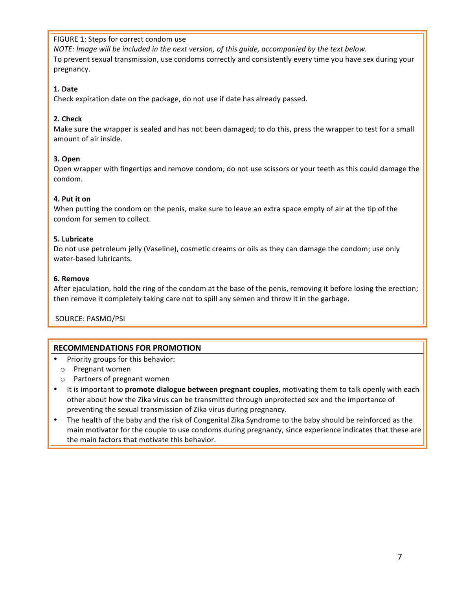## FIGURE 1: Steps for correct condom use

*NOTE: Image will be included in the next version, of this guide, accompanied by the text below.* To prevent sexual transmission, use condoms correctly and consistently every time you have sex during your pregnancy.

## **1. Date**

Check expiration date on the package, do not use if date has already passed.

## **2. Check**

Make sure the wrapper is sealed and has not been damaged; to do this, press the wrapper to test for a small amount of air inside.

## **3. Open**

Open wrapper with fingertips and remove condom; do not use scissors or your teeth as this could damage the condom.

## **4. Put it on**

When putting the condom on the penis, make sure to leave an extra space empty of air at the tip of the condom for semen to collect.

#### **5. Lubricate**

Do not use petroleum jelly (Vaseline), cosmetic creams or oils as they can damage the condom; use only water-based lubricants.

#### **6. Remove**

After ejaculation, hold the ring of the condom at the base of the penis, removing it before losing the erection; then remove it completely taking care not to spill any semen and throw it in the garbage.

SOURCE: PASMO/PSI

- Priority groups for this behavior:
	- o Pregnant women
- o Partners of pregnant women
- It is important to **promote dialogue between pregnant couples**, motivating them to talk openly with each other about how the Zika virus can be transmitted through unprotected sex and the importance of preventing the sexual transmission of Zika virus during pregnancy.
- The health of the baby and the risk of Congenital Zika Syndrome to the baby should be reinforced as the main motivator for the couple to use condoms during pregnancy, since experience indicates that these are the main factors that motivate this behavior.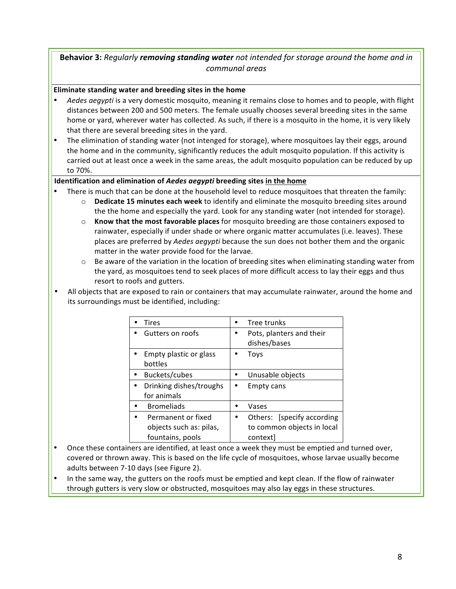## **Behavior 3:** Regularly *removing standing water not intended for storage around the home and in communal areas*

## Eliminate standing water and breeding sites in the home

- Aedes aegypti is a very domestic mosquito, meaning it remains close to homes and to people, with flight distances between 200 and 500 meters. The female usually chooses several breeding sites in the same home or yard, wherever water has collected. As such, if there is a mosquito in the home, it is very likely that there are several breeding sites in the yard.
- The elimination of standing water (not intenged for storage), where mosquitoes lay their eggs, around the home and in the community, significantly reduces the adult mosquito population. If this activity is carried out at least once a week in the same areas, the adult mosquito population can be reduced by up to 70%.

## **Identification and elimination of Aedes aegypti breeding sites in the home**

- There is much that can be done at the household level to reduce mosquitoes that threaten the family:
	- $\circ$  **Dedicate 15 minutes each week** to identify and eliminate the mosquito breeding sites around the the home and especially the yard. Look for any standing water (not intended for storage).
	- $\circ$  **Know that the most favorable places** for mosquito breeding are those containers exposed to rainwater, especially if under shade or where organic matter accumulates (i.e. leaves). These places are preferred by *Aedes aegypti* because the sun does not bother them and the organic matter in the water provide food for the larvae.
	- $\circ$  Be aware of the variation in the location of breeding sites when eliminating standing water from the yard, as mosquitoes tend to seek places of more difficult access to lay their eggs and thus resort to roofs and gutters.
- All objects that are exposed to rain or containers that may accumulate rainwater, around the home and its surroundings must be identified, including:

| Tires                                  | Tree trunks                              |  |  |
|----------------------------------------|------------------------------------------|--|--|
| Gutters on roofs                       | Pots, planters and their<br>dishes/bases |  |  |
| Empty plastic or glass<br>bottles      | Tovs                                     |  |  |
| Buckets/cubes                          | Unusable objects                         |  |  |
| Drinking dishes/troughs<br>for animals | Empty cans                               |  |  |
| <b>Bromeliads</b>                      | Vases                                    |  |  |
| Permanent or fixed                     | Others: [specify according]              |  |  |
| objects such as: pilas,                | to common objects in local               |  |  |
| fountains, pools                       | context]                                 |  |  |

- Once these containers are identified, at least once a week they must be emptied and turned over, covered or thrown away. This is based on the life cycle of mosquitoes, whose larvae usually become adults between 7-10 days (see Figure 2).
- In the same way, the gutters on the roofs must be emptied and kept clean. If the flow of rainwater through gutters is very slow or obstructed, mosquitoes may also lay eggs in these structures.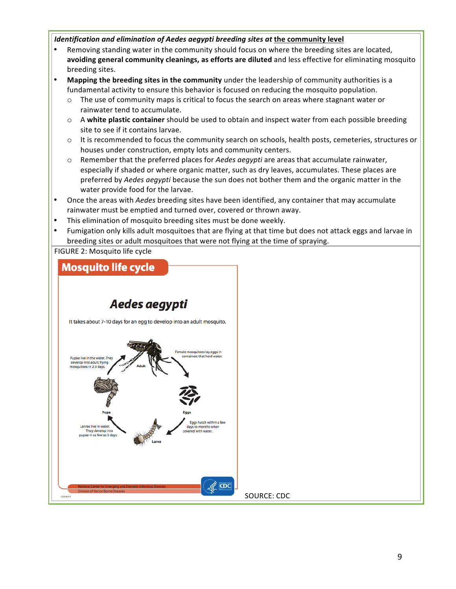## *Identification and elimination of Aedes aegypti breeding sites at the community level*

- Removing standing water in the community should focus on where the breeding sites are located, avoiding general community cleanings, as efforts are diluted and less effective for eliminating mosquito breeding sites.
- **Mapping the breeding sites in the community** under the leadership of community authorities is a fundamental activity to ensure this behavior is focused on reducing the mosquito population.
	- $\circ$  The use of community maps is critical to focus the search on areas where stagnant water or rainwater tend to accumulate.
	- A **white plastic container** should be used to obtain and inspect water from each possible breeding site to see if it contains larvae.
	- $\circ$  It is recommended to focus the community search on schools, health posts, cemeteries, structures or houses under construction, empty lots and community centers.
	- $\circ$  Remember that the preferred places for *Aedes aegypti* are areas that accumulate rainwater, especially if shaded or where organic matter, such as dry leaves, accumulates. These places are preferred by Aedes aegypti because the sun does not bother them and the organic matter in the water provide food for the larvae.
- Once the areas with *Aedes* breeding sites have been identified, any container that may accumulate rainwater must be emptied and turned over, covered or thrown away.
- This elimination of mosquito breeding sites must be done weekly.
- Fumigation only kills adult mosquitoes that are flying at that time but does not attack eggs and larvae in breeding sites or adult mosquitoes that were not flying at the time of spraying.

FIGURE 2: Mosquito life cycle

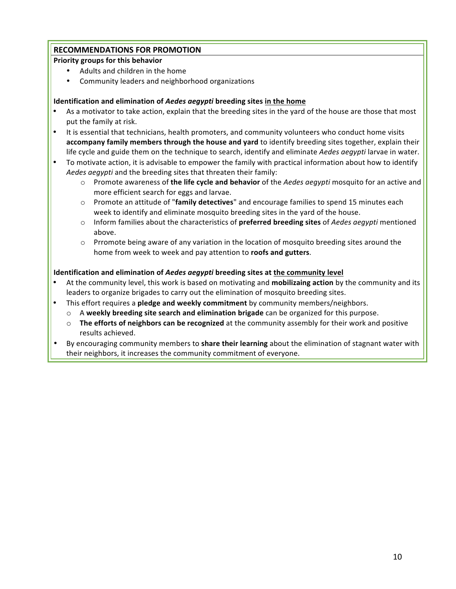## **RECOMMENDATIONS FOR PROMOTION**

## **Priority groups for this behavior**

- Adults and children in the home
- Community leaders and neighborhood organizations

## **Identification and elimination of Aedes aegypti breeding sites in the home**

- As a motivator to take action, explain that the breeding sites in the yard of the house are those that most put the family at risk.
- It is essential that technicians, health promoters, and community volunteers who conduct home visits **accompany family members through the house and yard** to identify breeding sites together, explain their life cycle and guide them on the technique to search, identify and eliminate *Aedes aeqypti* larvae in water.
- To motivate action, it is advisable to empower the family with practical information about how to identify Aedes aegypti and the breeding sites that threaten their family:
	- $\circ$  Promote awareness of the life cycle and behavior of the *Aedes aegypti* mosquito for an active and more efficient search for eggs and larvae.
	- Promote an attitude of "family detectives" and encourage families to spend 15 minutes each week to identify and eliminate mosquito breeding sites in the yard of the house.
	- $\circ$  Inform families about the characteristics of **preferred breeding sites** of *Aedes aegypti* mentioned above.
	- $\circ$  Prromote being aware of any variation in the location of mosquito breeding sites around the home from week to week and pay attention to **roofs and gutters**.

## **Identification and elimination of** *Aedes aegypti* **breeding sites at the community level**

- At the community level, this work is based on motivating and **mobilizaing action** by the community and its leaders to organize brigades to carry out the elimination of mosquito breeding sites.
- This effort requires a **pledge and weekly commitment** by community members/neighbors.
	- $\circ$  A weekly breeding site search and elimination brigade can be organized for this purpose.
	- $\circ$  **The efforts of neighbors can be recognized** at the community assembly for their work and positive results achieved.
- By encouraging community members to **share their learning** about the elimination of stagnant water with their neighbors, it increases the community commitment of everyone.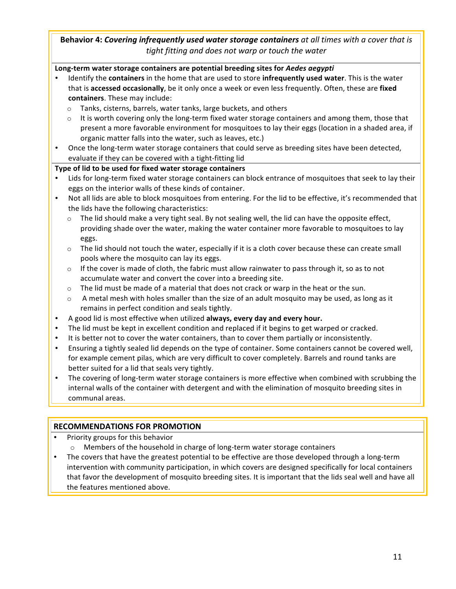## **Behavior 4: Covering infrequently used water storage containers** at all times with a cover that is *tight fitting and does not warp or touch the water*

## Long-term water storage containers are potential breeding sites for Aedes aegypti

- Identify the **containers** in the home that are used to store **infrequently used water**. This is the water that is **accessed occasionally**, be it only once a week or even less frequently. Often, these are **fixed containers**. These may include:
	- $\circ$  Tanks, cisterns, barrels, water tanks, large buckets, and others
	- $\circ$  It is worth covering only the long-term fixed water storage containers and among them, those that present a more favorable environment for mosquitoes to lay their eggs (location in a shaded area, if organic matter falls into the water, such as leaves, etc.)
- Once the long-term water storage containers that could serve as breeding sites have been detected, evaluate if they can be covered with a tight-fitting lid

## Type of lid to be used for fixed water storage containers

- Lids for long-term fixed water storage containers can block entrance of mosquitoes that seek to lay their eggs on the interior walls of these kinds of container.
- Not all lids are able to block mosquitoes from entering. For the lid to be effective, it's recommended that the lids have the following characteristics:
	- The lid should make a very tight seal. By not sealing well, the lid can have the opposite effect, providing shade over the water, making the water container more favorable to mosquitoes to lay eggs.
	- $\circ$  The lid should not touch the water, especially if it is a cloth cover because these can create small pools where the mosquito can lay its eggs.
	- $\circ$  If the cover is made of cloth, the fabric must allow rainwater to pass through it, so as to not accumulate water and convert the cover into a breeding site.
	- $\circ$  The lid must be made of a material that does not crack or warp in the heat or the sun.
	- $\circ$  A metal mesh with holes smaller than the size of an adult mosquito may be used, as long as it remains in perfect condition and seals tightly.
- A good lid is most effective when utilized **always, every day and every hour.**
- The lid must be kept in excellent condition and replaced if it begins to get warped or cracked.
- It is better not to cover the water containers, than to cover them partially or inconsistently.
- Ensuring a tightly sealed lid depends on the type of container. Some containers cannot be covered well, for example cement pilas, which are very difficult to cover completely. Barrels and round tanks are better suited for a lid that seals very tightly.
- The covering of long-term water storage containers is more effective when combined with scrubbing the internal walls of the container with detergent and with the elimination of mosquito breeding sites in communal areas.

- Priority groups for this behavior
	- $\circ$  Members of the household in charge of long-term water storage containers
- The covers that have the greatest potential to be effective are those developed through a long-term intervention with community participation, in which covers are designed specifically for local containers that favor the development of mosquito breeding sites. It is important that the lids seal well and have all the features mentioned above.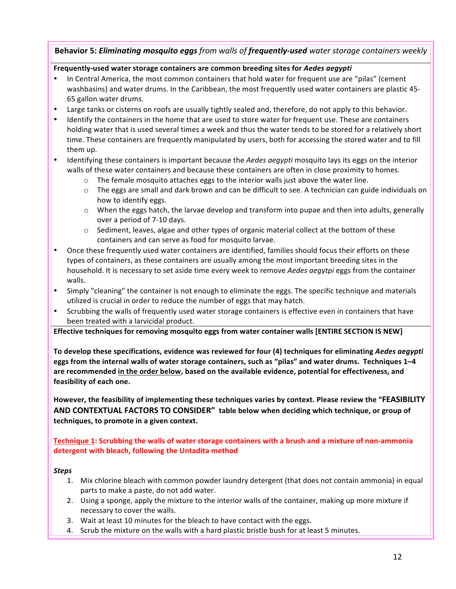## **Behavior 5:** *Eliminating mosquito eggs* from walls of **frequently-used** water storage containers weekly

## **Frequently-used water storage containers are common breeding sites for** *Aedes aegypti*

- In Central America, the most common containers that hold water for frequent use are "pilas" (cement washbasins) and water drums. In the Caribbean, the most frequently used water containers are plastic 45-65 gallon water drums.
- Large tanks or cisterns on roofs are usually tightly sealed and, therefore, do not apply to this behavior.
- Identify the containers in the home that are used to store water for frequent use. These are containers holding water that is used several times a week and thus the water tends to be stored for a relatively short time. These containers are frequently manipulated by users, both for accessing the stored water and to fill them up.
- Identifying these containers is important because the *Aedes aegypti* mosquito lays its eggs on the interior walls of these water containers and because these containers are often in close proximity to homes.
	- $\circ$  The female mosquito attaches eggs to the interior walls just above the water line.
	- $\circ$  The eggs are small and dark brown and can be difficult to see. A technician can guide individuals on how to identify eggs.
	- $\circ$  When the eggs hatch, the larvae develop and transform into pupae and then into adults, generally over a period of 7-10 days.
	- $\circ$  Sediment, leaves, algae and other types of organic material collect at the bottom of these containers and can serve as food for mosquito larvae.
- Once these frequently used water containers are identified, families should focus their efforts on these types of containers, as these containers are usually among the most important breeding sites in the household. It is necessary to set aside time every week to remove *Aedes aegytpi* eggs from the container walls.
- Simply "cleaning" the container is not enough to eliminate the eggs. The specific technique and materials utilized is crucial in order to reduce the number of eggs that may hatch.
- Scrubbing the walls of frequently used water storage containers is effective even in containers that have been treated with a larvicidal product.

**Effective techniques for removing mosquito eggs from water container walls [ENTIRE SECTION IS NEW]** 

To develop these specifications, evidence was reviewed for four (4) techniques for eliminating *Aedes aegypti* eggs from the internal walls of water storage containers, such as "pilas" and water drums. Techniques 1-4 are recommended in the order below, based on the available evidence, potential for effectiveness, and feasibility of each one.

However, the feasibility of implementing these techniques varies by context. Please review the "FEASIBILITY AND CONTEXTUAL FACTORS TO CONSIDER" table below when deciding which technique, or group of techniques, to promote in a given context.

**Technique 1:** Scrubbing the walls of water storage containers with a brush and a mixture of non-ammonia detergent with bleach, following the Untadita method

#### *Steps*

- 1. Mix chlorine bleach with common powder laundry detergent (that does not contain ammonia) in equal parts to make a paste, do not add water.
- 2. Using a sponge, apply the mixture to the interior walls of the container, making up more mixture if necessary to cover the walls.
- 3. Wait at least 10 minutes for the bleach to have contact with the eggs.
- 4. Scrub the mixture on the walls with a hard plastic bristle bush for at least 5 minutes.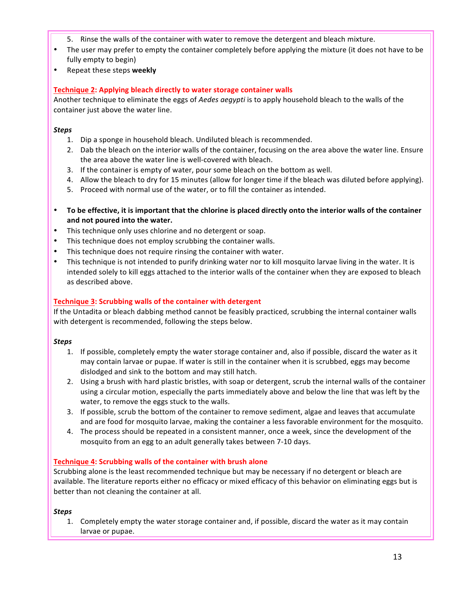- 5. Rinse the walls of the container with water to remove the detergent and bleach mixture.
- The user may prefer to empty the container completely before applying the mixture (it does not have to be fully empty to begin)
- Repeat these steps **weekly**

## **Technique 2: Applying bleach directly to water storage container walls**

Another technique to eliminate the eggs of *Aedes aegypti* is to apply household bleach to the walls of the container just above the water line.

## *Steps*

- 1. Dip a sponge in household bleach. Undiluted bleach is recommended.
- 2. Dab the bleach on the interior walls of the container, focusing on the area above the water line. Ensure the area above the water line is well-covered with bleach.
- 3. If the container is empty of water, pour some bleach on the bottom as well.
- 4. Allow the bleach to dry for 15 minutes (allow for longer time if the bleach was diluted before applying).
- 5. Proceed with normal use of the water, or to fill the container as intended.
- To be effective, it is important that the chlorine is placed directly onto the interior walls of the container and not poured into the water.
- This technique only uses chlorine and no detergent or soap.
- This technique does not employ scrubbing the container walls.
- This technique does not require rinsing the container with water.
- This technique is not intended to purify drinking water nor to kill mosquito larvae living in the water. It is intended solely to kill eggs attached to the interior walls of the container when they are exposed to bleach as described above.

## **Technique 3: Scrubbing walls of the container with detergent**

If the Untadita or bleach dabbing method cannot be feasibly practiced, scrubbing the internal container walls with detergent is recommended, following the steps below.

## *Steps*

- 1. If possible, completely empty the water storage container and, also if possible, discard the water as it may contain larvae or pupae. If water is still in the container when it is scrubbed, eggs may become dislodged and sink to the bottom and may still hatch.
- 2. Using a brush with hard plastic bristles, with soap or detergent, scrub the internal walls of the container using a circular motion, especially the parts immediately above and below the line that was left by the water, to remove the eggs stuck to the walls.
- 3. If possible, scrub the bottom of the container to remove sediment, algae and leaves that accumulate and are food for mosquito larvae, making the container a less favorable environment for the mosquito.
- 4. The process should be repeated in a consistent manner, once a week, since the development of the mosquito from an egg to an adult generally takes between 7-10 days.

## **Technique 4: Scrubbing walls of the container with brush alone**

Scrubbing alone is the least recommended technique but may be necessary if no detergent or bleach are available. The literature reports either no efficacy or mixed efficacy of this behavior on eliminating eggs but is better than not cleaning the container at all.

## *Steps*

1. Completely empty the water storage container and, if possible, discard the water as it may contain larvae or pupae.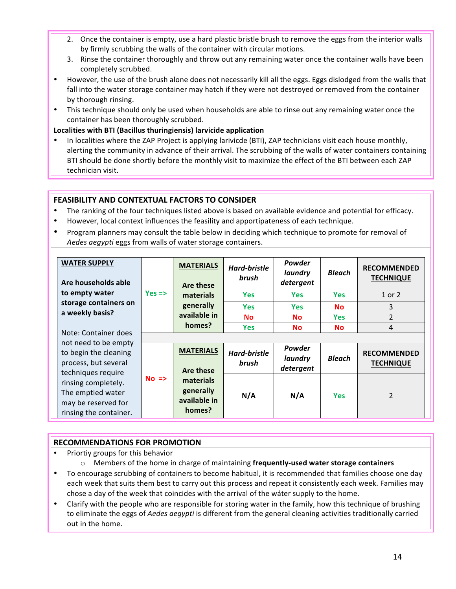- 2. Once the container is empty, use a hard plastic bristle brush to remove the eggs from the interior walls by firmly scrubbing the walls of the container with circular motions.
- 3. Rinse the container thoroughly and throw out any remaining water once the container walls have been completely scrubbed.
- However, the use of the brush alone does not necessarily kill all the eggs. Eggs dislodged from the walls that fall into the water storage container may hatch if they were not destroyed or removed from the container by thorough rinsing.
- This technique should only be used when households are able to rinse out any remaining water once the container has been thoroughly scrubbed.

**Localities with BTI (Bacillus thuringiensis) larvicide application**

In localities where the ZAP Project is applying larivicde (BTI), ZAP technicians visit each house monthly, alerting the community in advance of their arrival. The scrubbing of the walls of water containers containing BTI should be done shortly before the monthly visit to maximize the effect of the BTI between each ZAP technician visit.

## **FEASIBILITY AND CONTEXTUAL FACTORS TO CONSIDER**

- The ranking of the four techniques listed above is based on available evidence and potential for efficacy.
- However, local context influences the feasility and apportipateness of each technique.
- Program planners may consult the table below in deciding which technique to promote for removal of Aedes aegypti eggs from walls of water storage containers.

| <b>WATER SUPPLY</b><br>Are households able                                                  | <b>MATERIALS</b><br>Are these | Hard-bristle<br>brush                                                             | Powder<br>laundry<br>detergent | <b>Bleach</b>                  | <b>RECOMMENDED</b><br><b>TECHNIQUE</b> |                                        |
|---------------------------------------------------------------------------------------------|-------------------------------|-----------------------------------------------------------------------------------|--------------------------------|--------------------------------|----------------------------------------|----------------------------------------|
| to empty water                                                                              | $Yes =$                       | materials                                                                         | <b>Yes</b>                     | <b>Yes</b>                     | <b>Yes</b>                             | 1 or 2                                 |
| storage containers on                                                                       |                               | generally                                                                         | <b>Yes</b>                     | <b>Yes</b>                     | <b>No</b>                              | 3                                      |
| a weekly basis?                                                                             |                               | available in                                                                      | <b>No</b>                      | <b>No</b>                      | <b>Yes</b>                             | $\overline{2}$                         |
|                                                                                             |                               | homes?                                                                            | <b>Yes</b>                     | <b>No</b>                      | <b>No</b>                              | 4                                      |
| Note: Container does                                                                        |                               |                                                                                   |                                |                                |                                        |                                        |
| not need to be empty<br>to begin the cleaning<br>process, but several<br>techniques require |                               | <b>MATERIALS</b><br>Are these<br>materials<br>generally<br>available in<br>homes? | <b>Hard-bristle</b><br>brush   | Powder<br>laundry<br>detergent | <b>Bleach</b>                          | <b>RECOMMENDED</b><br><b>TECHNIQUE</b> |
| rinsing completely.<br>The emptied water<br>may be reserved for<br>rinsing the container.   | $No =>$                       |                                                                                   | N/A                            | N/A                            | <b>Yes</b>                             | $\overline{2}$                         |

- Priortiy groups for this behavior
	- o Members of the home in charge of maintaining **frequently-used water storage containers**
- To encourage scrubbing of containers to become habitual, it is recommended that families choose one day each week that suits them best to carry out this process and repeat it consistently each week. Families may chose a day of the week that coincides with the arrival of the wáter supply to the home.
- Clarify with the people who are responsible for storing water in the family, how this technique of brushing to eliminate the eggs of *Aedes aegypti* is different from the general cleaning activities traditionally carried out in the home.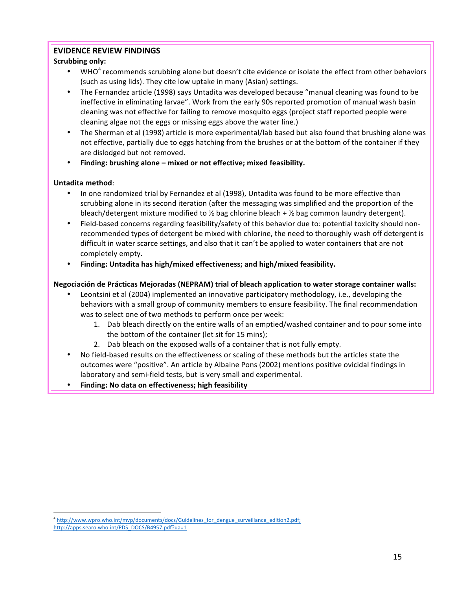## **EVIDENCE REVIEW FINDINGS**

## **Scrubbing only:**

- WHO $^4$  recommends scrubbing alone but doesn't cite evidence or isolate the effect from other behaviors (such as using lids). They cite low uptake in many (Asian) settings.
- The Fernandez article (1998) says Untadita was developed because "manual cleaning was found to be ineffective in eliminating larvae". Work from the early 90s reported promotion of manual wash basin cleaning was not effective for failing to remove mosquito eggs (project staff reported people were cleaning algae not the eggs or missing eggs above the water line.)
- The Sherman et al (1998) article is more experimental/lab based but also found that brushing alone was not effective, partially due to eggs hatching from the brushes or at the bottom of the container if they are dislodged but not removed.
- Finding: brushing alone mixed or not effective; mixed feasibility.

## **Untadita method**:

- In one randomized trial by Fernandez et al (1998), Untadita was found to be more effective than scrubbing alone in its second iteration (after the messaging was simplified and the proportion of the bleach/detergent mixture modified to  $\frac{1}{2}$  bag chlorine bleach +  $\frac{1}{2}$  bag common laundry detergent).
- Field-based concerns regarding feasibility/safety of this behavior due to: potential toxicity should nonrecommended types of detergent be mixed with chlorine, the need to thoroughly wash off detergent is difficult in water scarce settings, and also that it can't be applied to water containers that are not completely empty.
- Finding: Untadita has high/mixed effectiveness; and high/mixed feasibility.

## Negociación de Prácticas Mejoradas (NEPRAM) trial of bleach application to water storage container walls:

- Leontsini et al (2004) implemented an innovative participatory methodology, i.e., developing the behaviors with a small group of community members to ensure feasibility. The final recommendation was to select one of two methods to perform once per week:
	- 1. Dab bleach directly on the entire walls of an emptied/washed container and to pour some into the bottom of the container (let sit for 15 mins);
	- 2. Dab bleach on the exposed walls of a container that is not fully empty.
- No field-based results on the effectiveness or scaling of these methods but the articles state the outcomes were "positive". An article by Albaine Pons (2002) mentions positive ovicidal findings in laboratory and semi-field tests, but is very small and experimental.
- **Finding: No data on effectiveness; high feasibility**

 

<sup>&</sup>lt;sup>4</sup> http://www.wpro.who.int/mvp/documents/docs/Guidelines\_for\_dengue\_surveillance\_edition2.pdf; http://apps.searo.who.int/PDS\_DOCS/B4957.pdf?ua=1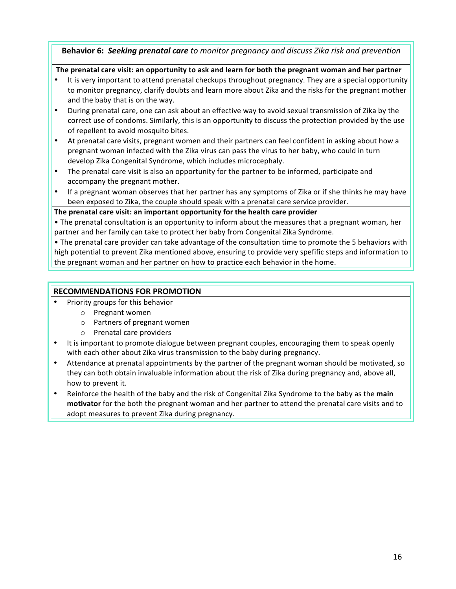**Behavior 6: Seeking prenatal care** to monitor pregnancy and discuss Zika risk and prevention

## The prenatal care visit: an opportunity to ask and learn for both the pregnant woman and her partner

- It is very important to attend prenatal checkups throughout pregnancy. They are a special opportunity to monitor pregnancy, clarify doubts and learn more about Zika and the risks for the pregnant mother and the baby that is on the way.
- During prenatal care, one can ask about an effective way to avoid sexual transmission of Zika by the correct use of condoms. Similarly, this is an opportunity to discuss the protection provided by the use of repellent to avoid mosquito bites.
- At prenatal care visits, pregnant women and their partners can feel confident in asking about how a pregnant woman infected with the Zika virus can pass the virus to her baby, who could in turn develop Zika Congenital Syndrome, which includes microcephaly.
- The prenatal care visit is also an opportunity for the partner to be informed, participate and accompany the pregnant mother.
- If a pregnant woman observes that her partner has any symptoms of Zika or if she thinks he may have been exposed to Zika, the couple should speak with a prenatal care service provider.

## The prenatal care visit: an important opportunity for the health care provider

• The prenatal consultation is an opportunity to inform about the measures that a pregnant woman, her partner and her family can take to protect her baby from Congenital Zika Syndrome.

• The prenatal care provider can take advantage of the consultation time to promote the 5 behaviors with high potential to prevent Zika mentioned above, ensuring to provide very spefific steps and information to the pregnant woman and her partner on how to practice each behavior in the home.

- Priority groups for this behavior
	- o Pregnant women
	- o Partners of pregnant women
	- $\circ$  Prenatal care providers
- It is important to promote dialogue between pregnant couples, encouraging them to speak openly with each other about Zika virus transmission to the baby during pregnancy.
- Attendance at prenatal appointments by the partner of the pregnant woman should be motivated, so they can both obtain invaluable information about the risk of Zika during pregnancy and, above all, how to prevent it.
- Reinforce the health of the baby and the risk of Congenital Zika Syndrome to the baby as the main **motivator** for the both the pregnant woman and her partner to attend the prenatal care visits and to adopt measures to prevent Zika during pregnancy.